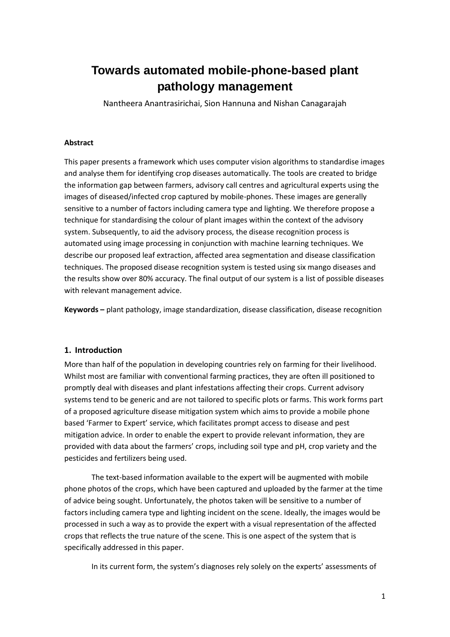# **Towards automated mobile-phone-based plant pathology management**

Nantheera Anantrasirichai, Sion Hannuna and Nishan Canagarajah

#### **Abstract**

This paper presents a framework which uses computer vision algorithms to standardise images and analyse them for identifying crop diseases automatically. The tools are created to bridge the information gap between farmers, advisory call centres and agricultural experts using the images of diseased/infected crop captured by mobile-phones. These images are generally sensitive to a number of factors including camera type and lighting. We therefore propose a technique for standardising the colour of plant images within the context of the advisory system. Subsequently, to aid the advisory process, the disease recognition process is automated using image processing in conjunction with machine learning techniques. We describe our proposed leaf extraction, affected area segmentation and disease classification techniques. The proposed disease recognition system is tested using six mango diseases and the results show over 80% accuracy. The final output of our system is a list of possible diseases with relevant management advice.

**Keywords –** plant pathology, image standardization, disease classification, disease recognition

## **1. Introduction**

More than half of the population in developing countries rely on farming for their livelihood. Whilst most are familiar with conventional farming practices, they are often ill positioned to promptly deal with diseases and plant infestations affecting their crops. Current advisory systems tend to be generic and are not tailored to specific plots or farms. This work forms part of a proposed agriculture disease mitigation system which aims to provide a mobile phone based 'Farmer to Expert' service, which facilitates prompt access to disease and pest mitigation advice. In order to enable the expert to provide relevant information, they are provided with data about the farmers' crops, including soil type and pH, crop variety and the pesticides and fertilizers being used.

The text-based information available to the expert will be augmented with mobile phone photos of the crops, which have been captured and uploaded by the farmer at the time of advice being sought. Unfortunately, the photos taken will be sensitive to a number of factors including camera type and lighting incident on the scene. Ideally, the images would be processed in such a way as to provide the expert with a visual representation of the affected crops that reflects the true nature of the scene. This is one aspect of the system that is specifically addressed in this paper.

In its current form, the system's diagnoses rely solely on the experts' assessments of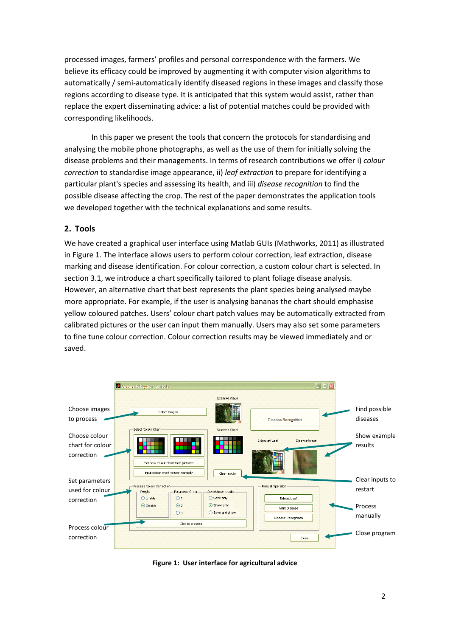processed images, farmers' profiles and personal correspondence with the farmers. We believe its efficacy could be improved by augmenting it with computer vision algorithms to automatically / semi-automatically identify diseased regions in these images and classify those regions according to disease type. It is anticipated that this system would assist, rather than replace the expert disseminating advice: a list of potential matches could be provided with corresponding likelihoods.

In this paper we present the tools that concern the protocols for standardising and analysing the mobile phone photographs, as well as the use of them for initially solving the disease problems and their managements. In terms of research contributions we offer i) *colour correction* to standardise image appearance, ii) *leaf extraction* to prepare for identifying a particular plant's species and assessing its health, and iii) *disease recognition* to find the possible disease affecting the crop. The rest of the paper demonstrates the application tools we developed together with the technical explanations and some results.

# **2. Tools**

We have created a graphical user interface using Matlab GUIs (Mathworks, 2011) as illustrated in [Figure 1.](#page-1-0) The interface allows users to perform colour correction, leaf extraction, disease marking and disease identification. For colour correction, a custom colour chart is selected. In section [3.1,](#page-2-0) we introduce a chart specifically tailored to plant foliage disease analysis. However, an alternative chart that best represents the plant species being analysed maybe more appropriate. For example, if the user is analysing bananas the chart should emphasise yellow coloured patches. Users' colour chart patch values may be automatically extracted from calibrated pictures or the user can input them manually. Users may also set some parameters to fine tune colour correction. Colour correction results may be viewed immediately and or saved.



<span id="page-1-0"></span>**Figure 1: User interface for agricultural advice**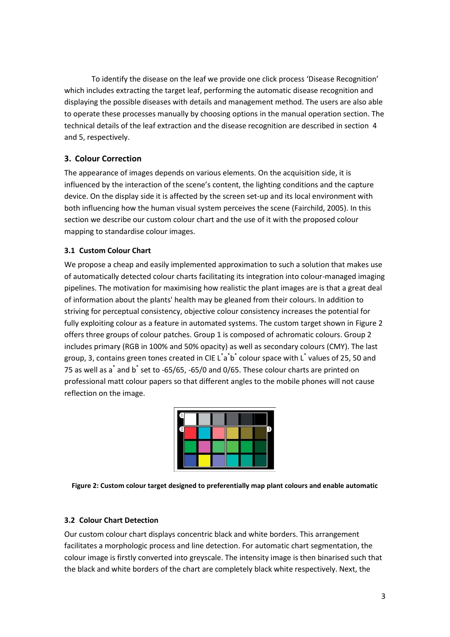To identify the disease on the leaf we provide one click process 'Disease Recognition' which includes extracting the target leaf, performing the automatic disease recognition and displaying the possible diseases with details and management method. The users are also able to operate these processes manually by choosing options in the manual operation section. The technical details of the leaf extraction and the disease recognition are described in section [4](#page-4-0) and [5,](#page-5-0) respectively.

# **3. Colour Correction**

The appearance of images depends on various elements. On the acquisition side, it is influenced by the interaction of the scene's content, the lighting conditions and the capture device. On the display side it is affected by the screen set-up and its local environment with both influencing how the human visual system perceives the scene (Fairchild, 2005). In this section we describe our custom colour chart and the use of it with the proposed colour mapping to standardise colour images.

# <span id="page-2-0"></span>**3.1 Custom Colour Chart**

We propose a cheap and easily implemented approximation to such a solution that makes use of automatically detected colour charts facilitating its integration into colour-managed imaging pipelines. The motivation for maximising how realistic the plant images are is that a great deal of information about the plants' health may be gleaned from their colours. In addition to striving for perceptual consistency, objective colour consistency increases the potential for fully exploiting colour as a feature in automated systems. The custom target shown in [Figure 2](#page-2-1) offers three groups of colour patches. Group 1 is composed of achromatic colours. Group 2 includes primary (RGB in 100% and 50% opacity) as well as secondary colours (CMY). The last group, 3, contains green tones created in CIE L<sup>\*</sup>a<sup>\*</sup>b<sup>\*</sup> colour space with L<sup>\*</sup> values of 25, 50 and 75 as well as  $a^*$  and  $b^*$  set to -65/65, -65/0 and 0/65. These colour charts are printed on professional matt colour papers so that different angles to the mobile phones will not cause reflection on the image.

|  |  | ٩ |
|--|--|---|
|  |  |   |
|  |  |   |

<span id="page-2-1"></span>**Figure 2: Custom colour target designed to preferentially map plant colours and enable automatic**

## **3.2 Colour Chart Detection**

Our custom colour chart displays concentric black and white borders. This arrangement facilitates a morphologic process and line detection. For automatic chart segmentation, the colour image is firstly converted into greyscale. The intensity image is then binarised such that the black and white borders of the chart are completely black white respectively. Next, the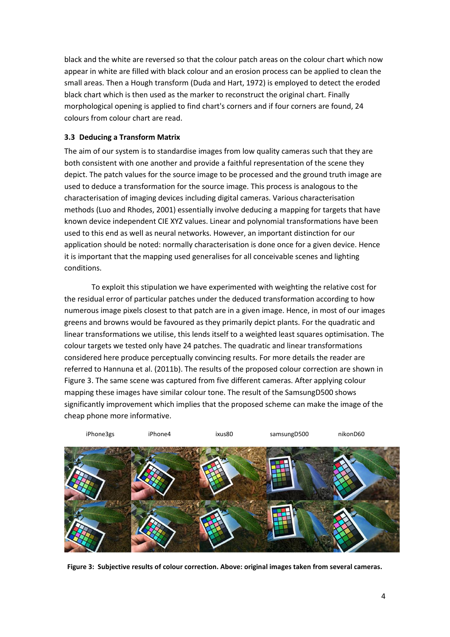black and the white are reversed so that the colour patch areas on the colour chart which now appear in white are filled with black colour and an erosion process can be applied to clean the small areas. Then a Hough transform (Duda and Hart, 1972) is employed to detect the eroded black chart which is then used as the marker to reconstruct the original chart. Finally morphological opening is applied to find chart's corners and if four corners are found, 24 colours from colour chart are read.

## **3.3 Deducing a Transform Matrix**

The aim of our system is to standardise images from low quality cameras such that they are both consistent with one another and provide a faithful representation of the scene they depict. The patch values for the source image to be processed and the ground truth image are used to deduce a transformation for the source image. This process is analogous to the characterisation of imaging devices including digital cameras. Various characterisation methods (Luo and Rhodes, 2001) essentially involve deducing a mapping for targets that have known device independent CIE XYZ values. Linear and polynomial transformations have been used to this end as well as neural networks. However, an important distinction for our application should be noted: normally characterisation is done once for a given device. Hence it is important that the mapping used generalises for all conceivable scenes and lighting conditions.

To exploit this stipulation we have experimented with weighting the relative cost for the residual error of particular patches under the deduced transformation according to how numerous image pixels closest to that patch are in a given image. Hence, in most of our images greens and browns would be favoured as they primarily depict plants. For the quadratic and linear transformations we utilise, this lends itself to a weighted least squares optimisation. The colour targets we tested only have 24 patches. The quadratic and linear transformations considered here produce perceptually convincing results. For more details the reader are referred to Hannuna et al. (2011b). The results of the proposed colour correction are shown in [Figure 3.](#page-3-0) The same scene was captured from five different cameras. After applying colour mapping these images have similar colour tone. The result of the SamsungD500 shows significantly improvement which implies that the proposed scheme can make the image of the cheap phone more informative.

<span id="page-3-0"></span>

**Figure 3: Subjective results of colour correction. Above: original images taken from several cameras.**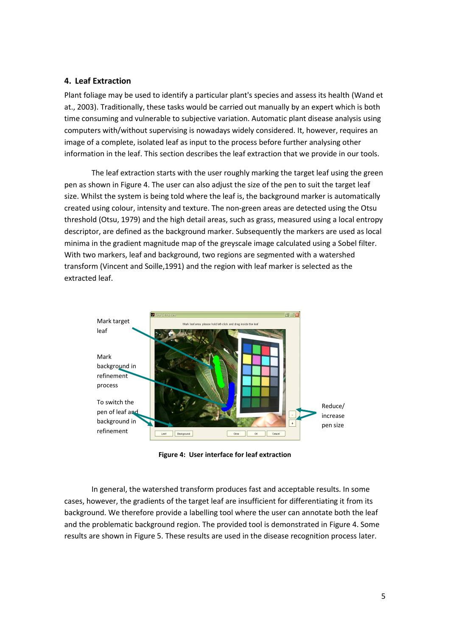#### <span id="page-4-0"></span>**4. Leaf Extraction**

Plant foliage may be used to identify a particular plant's species and assess its health (Wand et at., 2003). Traditionally, these tasks would be carried out manually by an expert which is both time consuming and vulnerable to subjective variation. Automatic plant disease analysis using computers with/without supervising is nowadays widely considered. It, however, requires an image of a complete, isolated leaf as input to the process before further analysing other information in the leaf. This section describes the leaf extraction that we provide in our tools.

The leaf extraction starts with the user roughly marking the target leaf using the green pen as shown i[n Figure 4.](#page-4-1) The user can also adjust the size of the pen to suit the target leaf size. Whilst the system is being told where the leaf is, the background marker is automatically created using colour, intensity and texture. The non-green areas are detected using the Otsu threshold (Otsu, 1979) and the high detail areas, such as grass, measured using a local entropy descriptor, are defined as the background marker. Subsequently the markers are used as local minima in the gradient magnitude map of the greyscale image calculated using a Sobel filter. With two markers, leaf and background, two regions are segmented with a watershed transform (Vincent and Soille,1991) and the region with leaf marker is selected as the extracted leaf.



**Figure 4: User interface for leaf extraction**

<span id="page-4-1"></span>In general, the watershed transform produces fast and acceptable results. In some cases, however, the gradients of the target leaf are insufficient for differentiating it from its background. We therefore provide a labelling tool where the user can annotate both the leaf and the problematic background region. The provided tool is demonstrated in [Figure 4.](#page-4-1) Some results are shown in [Figure 5.](#page-5-1) These results are used in the disease recognition process later.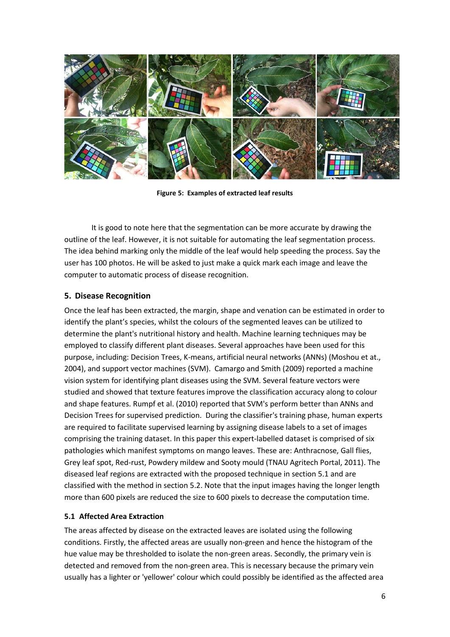

**Figure 5: Examples of extracted leaf results**

<span id="page-5-1"></span>It is good to note here that the segmentation can be more accurate by drawing the outline of the leaf. However, it is not suitable for automating the leaf segmentation process. The idea behind marking only the middle of the leaf would help speeding the process. Say the user has 100 photos. He will be asked to just make a quick mark each image and leave the computer to automatic process of disease recognition.

#### <span id="page-5-0"></span>**5. Disease Recognition**

Once the leaf has been extracted, the margin, shape and venation can be estimated in order to identify the plant's species, whilst the colours of the segmented leaves can be utilized to determine the plant's nutritional history and health. Machine learning techniques may be employed to classify different plant diseases. Several approaches have been used for this purpose, including: Decision Trees, K-means, artificial neural networks (ANNs) (Moshou et at., 2004), and support vector machines (SVM). Camargo and Smith (2009) reported a machine vision system for identifying plant diseases using the SVM. Several feature vectors were studied and showed that texture features improve the classification accuracy along to colour and shape features. Rumpf et al. (2010) reported that SVM's perform better than ANNs and Decision Trees for supervised prediction. During the classifier's training phase, human experts are required to facilitate supervised learning by assigning disease labels to a set of images comprising the training dataset. In this paper this expert-labelled dataset is comprised of six pathologies which manifest symptoms on mango leaves. These are: Anthracnose, Gall flies, Grey leaf spot, Red-rust, Powdery mildew and Sooty mould (TNAU Agritech Portal, 2011). The diseased leaf regions are extracted with the proposed technique in section [5.1](#page-5-2) and are classified with the method in section [5.2.](#page-6-0) Note that the input images having the longer length more than 600 pixels are reduced the size to 600 pixels to decrease the computation time.

#### <span id="page-5-2"></span>**5.1 Affected Area Extraction**

The areas affected by disease on the extracted leaves are isolated using the following conditions. Firstly, the affected areas are usually non-green and hence the histogram of the hue value may be thresholded to isolate the non-green areas. Secondly, the primary vein is detected and removed from the non-green area. This is necessary because the primary vein usually has a lighter or 'yellower' colour which could possibly be identified as the affected area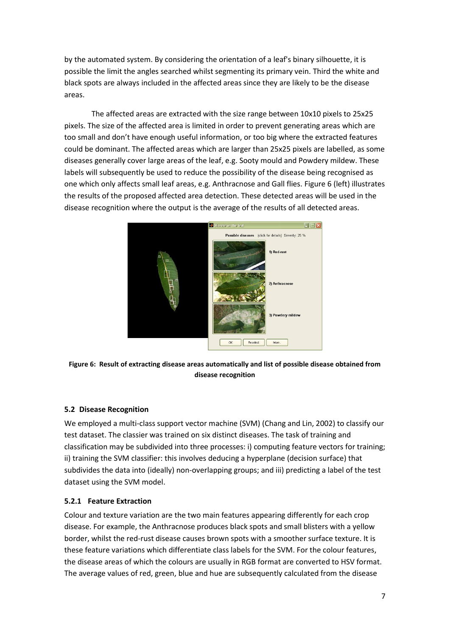by the automated system. By considering the orientation of a leaf's binary silhouette, it is possible the limit the angles searched whilst segmenting its primary vein. Third the white and black spots are always included in the affected areas since they are likely to be the disease areas.

The affected areas are extracted with the size range between 10x10 pixels to 25x25 pixels. The size of the affected area is limited in order to prevent generating areas which are too small and don't have enough useful information, or too big where the extracted features could be dominant. The affected areas which are larger than 25x25 pixels are labelled, as some diseases generally cover large areas of the leaf, e.g. Sooty mould and Powdery mildew. These labels will subsequently be used to reduce the possibility of the disease being recognised as one which only affects small leaf areas, e.g. Anthracnose and Gall flies. [Figure 6](#page-6-1) (left) illustrates the results of the proposed affected area detection. These detected areas will be used in the disease recognition where the output is the average of the results of all detected areas.



**Figure 6: Result of extracting disease areas automatically and list of possible disease obtained from disease recognition**

## <span id="page-6-1"></span><span id="page-6-0"></span>**5.2 Disease Recognition**

We employed a multi-class support vector machine (SVM) (Chang and Lin, 2002) to classify our test dataset. The classier was trained on six distinct diseases. The task of training and classification may be subdivided into three processes: i) computing feature vectors for training; ii) training the SVM classifier: this involves deducing a hyperplane (decision surface) that subdivides the data into (ideally) non-overlapping groups; and iii) predicting a label of the test dataset using the SVM model.

#### <span id="page-6-2"></span>**5.2.1 Feature Extraction**

Colour and texture variation are the two main features appearing differently for each crop disease. For example, the Anthracnose produces black spots and small blisters with a yellow border, whilst the red-rust disease causes brown spots with a smoother surface texture. It is these feature variations which differentiate class labels for the SVM. For the colour features, the disease areas of which the colours are usually in RGB format are converted to HSV format. The average values of red, green, blue and hue are subsequently calculated from the disease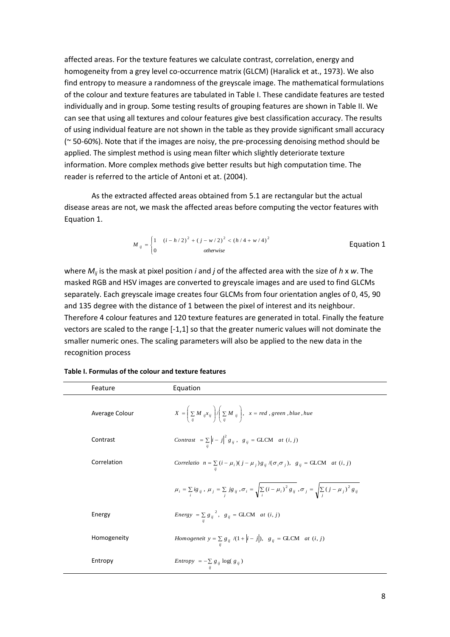affected areas. For the texture features we calculate contrast, correlation, energy and homogeneity from a grey level co-occurrence matrix (GLCM) (Haralick et at., 1973). We also find entropy to measure a randomness of the greyscale image. The mathematical formulations of the colour and texture features are tabulated in [Table I.](#page-7-0) These candidate features are tested individually and in group. Some testing results of grouping features are shown in [Table II.](#page-8-0) We can see that using all textures and colour features give best classification accuracy. The results of using individual feature are not shown in the table as they provide significant small accuracy (~ 50-60%). Note that if the images are noisy, the pre-processing denoising method should be applied. The simplest method is using mean filter which slightly deteriorate texture information. More complex methods give better results but high computation time. The reader is referred to the article of Antoni et at. (2004).

As the extracted affected areas obtained fro[m 5.1](#page-5-2) are rectangular but the actual disease areas are not, we mask the affected areas before computing the vector features with Equation 1.

$$
M_{ij} = \begin{cases} 1 & (i - h/2)^2 + (j - w/2)^2 < (h/4 + w/4)^2 \\ 0 & otherwise \end{cases}
$$
 Equation 1

where *Mij* is the mask at pixel position *i* and *j* of the affected area with the size of *h* x *w*. The masked RGB and HSV images are converted to greyscale images and are used to find GLCMs separately. Each greyscale image creates four GLCMs from four orientation angles of 0, 45, 90 and 135 degree with the distance of 1 between the pixel of interest and its neighbour. Therefore 4 colour features and 120 texture features are generated in total. Finally the feature vectors are scaled to the range [-1,1] so that the greater numeric values will not dominate the smaller numeric ones. The scaling parameters will also be applied to the new data in the recognition process

| Feature        | Equation                                                                                                                                               |
|----------------|--------------------------------------------------------------------------------------------------------------------------------------------------------|
| Average Colour | $X = \left(\sum_{ii} M_{ij} x_{ij}\right) / \left(\sum_{ii} M_{ij}\right)$ , $x = red$ , green, blue, hue                                              |
| Contrast       | Contrast = $\sum_{i}$ $\left i - j\right ^2$ $g_{ij}$ , $g_{ij}$ = GLCM <i>at</i> $(i, j)$                                                             |
| Correlation    | Correlatio $n = \sum (i - \mu_i)(j - \mu_j)g_{ij}/(\sigma_i \sigma_j)$ , $g_{ij} = \text{GLCM}$ at $(i, j)$                                            |
|                | $\mu_i = \sum_{j} ig_{ij}, \mu_j = \sum_{j} jg_{ij}, \sigma_i = \sqrt{\sum_{i} (i - \mu_i)^2 g_{ij}}, \sigma_j = \sqrt{\sum_{i} (j - \mu_j)^2 g_{ij}}$ |
| Energy         | <i>Energy</i> = $\sum_{i} g_{ij}^{2}$ , $g_{ij}$ = GLCM <i>at</i> $(i, j)$                                                                             |
| Homogeneity    | <i>Homogeneit</i> $y = \sum g_{ij} / (1 +  i - j )$ , $g_{ij} = \text{GLCM}$ <i>at</i> $(i, j)$                                                        |
| Entropy        | <i>Entropy</i> = $-\sum_{i} g_{ij} \log(g_{ij})$                                                                                                       |

<span id="page-7-0"></span>**Table I. Formulas of the colour and texture features**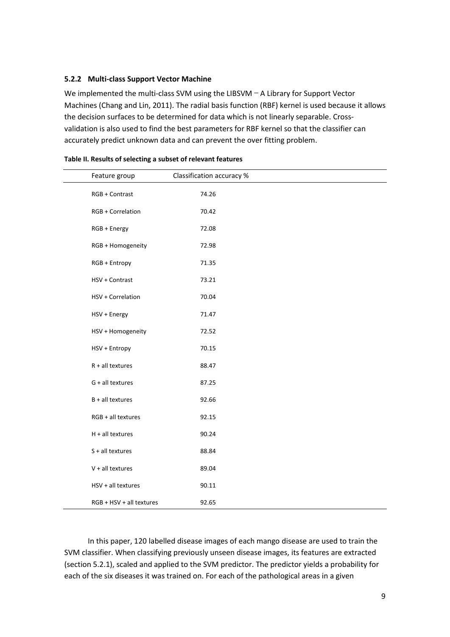#### **5.2.2 Multi-class Support Vector Machine**

We implemented the multi-class SVM using the LIBSVM – A Library for Support Vector Machines (Chang and Lin, 2011). The radial basis function (RBF) kernel is used because it allows the decision surfaces to be determined for data which is not linearly separable. Crossvalidation is also used to find the best parameters for RBF kernel so that the classifier can accurately predict unknown data and can prevent the over fitting problem.

| Feature group            | Classification accuracy % |  |
|--------------------------|---------------------------|--|
| RGB + Contrast           | 74.26                     |  |
| RGB + Correlation        | 70.42                     |  |
| RGB + Energy             | 72.08                     |  |
| RGB + Homogeneity        | 72.98                     |  |
| RGB + Entropy            | 71.35                     |  |
| HSV + Contrast           | 73.21                     |  |
| HSV + Correlation        | 70.04                     |  |
| HSV + Energy             | 71.47                     |  |
| HSV + Homogeneity        | 72.52                     |  |
| HSV + Entropy            | 70.15                     |  |
| $R + all$ textures       | 88.47                     |  |
| G + all textures         | 87.25                     |  |
| $B + all$ textures       | 92.66                     |  |
| RGB + all textures       | 92.15                     |  |
| $H + all$ textures       | 90.24                     |  |
| S + all textures         | 88.84                     |  |
| $V + all textures$       | 89.04                     |  |
| HSV + all textures       | 90.11                     |  |
| RGB + HSV + all textures | 92.65                     |  |

<span id="page-8-0"></span>

| Table II. Results of selecting a subset of relevant features |  |  |  |  |
|--------------------------------------------------------------|--|--|--|--|
|--------------------------------------------------------------|--|--|--|--|

In this paper, 120 labelled disease images of each mango disease are used to train the SVM classifier. When classifying previously unseen disease images, its features are extracted (section [5.2.1\)](#page-6-2), scaled and applied to the SVM predictor. The predictor yields a probability for each of the six diseases it was trained on. For each of the pathological areas in a given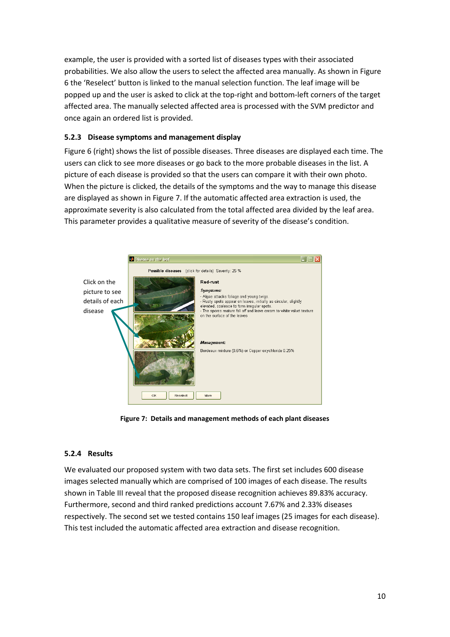example, the user is provided with a sorted list of diseases types with their associated probabilities. We also allow the users to select the affected area manually. As shown in [Figure](#page-6-1)  [6](#page-6-1) the 'Reselect' button is linked to the manual selection function. The leaf image will be popped up and the user is asked to click at the top-right and bottom-left corners of the target affected area. The manually selected affected area is processed with the SVM predictor and once again an ordered list is provided.

# **5.2.3 Disease symptoms and management display**

[Figure 6](#page-6-1) (right) shows the list of possible diseases. Three diseases are displayed each time. The users can click to see more diseases or go back to the more probable diseases in the list. A picture of each disease is provided so that the users can compare it with their own photo. When the picture is clicked, the details of the symptoms and the way to manage this disease are displayed as shown in [Figure 7.](#page-9-0) If the automatic affected area extraction is used, the approximate severity is also calculated from the total affected area divided by the leaf area. This parameter provides a qualitative measure of severity of the disease's condition.



**Figure 7: Details and management methods of each plant diseases**

## <span id="page-9-0"></span>**5.2.4 Results**

We evaluated our proposed system with two data sets. The first set includes 600 disease images selected manually which are comprised of 100 images of each disease. The results shown in [Table III](#page-10-0) reveal that the proposed disease recognition achieves 89.83% accuracy. Furthermore, second and third ranked predictions account 7.67% and 2.33% diseases respectively. The second set we tested contains 150 leaf images (25 images for each disease). This test included the automatic affected area extraction and disease recognition.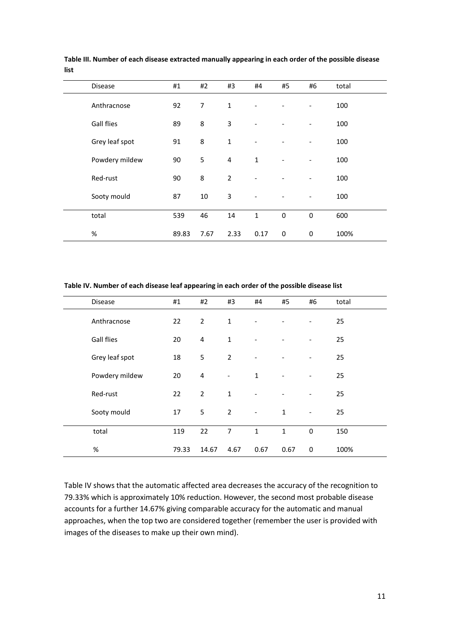| Disease           | #1    | #2             | #3             | #4                           | #5                       | #6                           | total |
|-------------------|-------|----------------|----------------|------------------------------|--------------------------|------------------------------|-------|
| Anthracnose       | 92    | $\overline{7}$ | 1              |                              |                          |                              | 100   |
| <b>Gall flies</b> | 89    | 8              | 3              |                              |                          |                              | 100   |
| Grey leaf spot    | 91    | 8              | $\mathbf{1}$   |                              |                          |                              | 100   |
| Powdery mildew    | 90    | 5              | $\pmb{4}$      | $\mathbf 1$                  | $\overline{\phantom{a}}$ |                              | 100   |
| Red-rust          | 90    | 8              | $\overline{2}$ |                              |                          |                              | 100   |
| Sooty mould       | 87    | 10             | 3              | $\qquad \qquad \blacksquare$ | -                        | $\qquad \qquad \blacksquare$ | 100   |
| total             | 539   | 46             | 14             | $\mathbf{1}$                 | $\mathbf 0$              | $\mathbf 0$                  | 600   |
| %                 | 89.83 | 7.67           | 2.33           | 0.17                         | 0                        | $\bf{0}$                     | 100%  |

<span id="page-10-0"></span>**Table III. Number of each disease extracted manually appearing in each order of the possible disease list**

<span id="page-10-1"></span>**Table IV. Number of each disease leaf appearing in each order of the possible disease list**

| <b>Disease</b>    | #1    | #2             | #3                | #4                           | #5                       | #6                       | total |
|-------------------|-------|----------------|-------------------|------------------------------|--------------------------|--------------------------|-------|
| Anthracnose       | 22    | $\overline{2}$ | $\mathbf{1}$      |                              |                          |                          | 25    |
| <b>Gall flies</b> | 20    | $\overline{4}$ | $\mathbf{1}$      |                              |                          |                          | 25    |
| Grey leaf spot    | 18    | 5              | $\overline{2}$    | $\qquad \qquad \blacksquare$ |                          | $\overline{\phantom{0}}$ | 25    |
| Powdery mildew    | 20    | $\overline{4}$ | $\qquad \qquad -$ | $1\,$                        | $\overline{\phantom{a}}$ | $\overline{\phantom{0}}$ | 25    |
| Red-rust          | 22    | $\overline{2}$ | $\mathbf{1}$      |                              |                          |                          | 25    |
| Sooty mould       | 17    | 5              | $\overline{2}$    | $\overline{\phantom{a}}$     | $\mathbf{1}$             | $\overline{\phantom{a}}$ | 25    |
| total             | 119   | 22             | $\overline{7}$    | $\mathbf{1}$                 | $\mathbf{1}$             | $\mathbf 0$              | 150   |
| $\%$              | 79.33 | 14.67          | 4.67              | 0.67                         | 0.67                     | 0                        | 100%  |

[Table IV](#page-10-1) shows that the automatic affected area decreases the accuracy of the recognition to 79.33% which is approximately 10% reduction. However, the second most probable disease accounts for a further 14.67% giving comparable accuracy for the automatic and manual approaches, when the top two are considered together (remember the user is provided with images of the diseases to make up their own mind).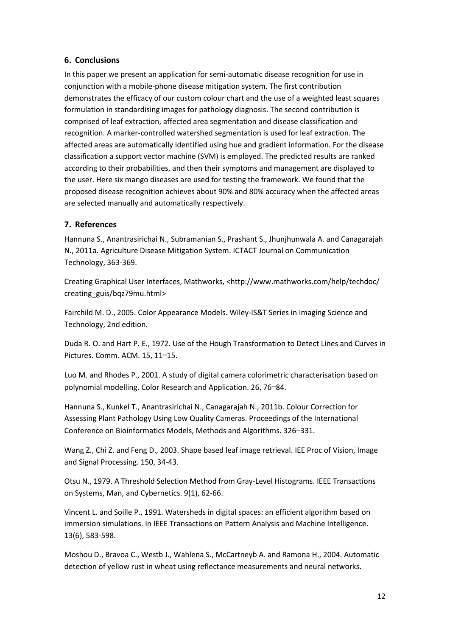## **6. Conclusions**

In this paper we present an application for semi-automatic disease recognition for use in conjunction with a mobile-phone disease mitigation system. The first contribution demonstrates the efficacy of our custom colour chart and the use of a weighted least squares formulation in standardising images for pathology diagnosis. The second contribution is comprised of leaf extraction, affected area segmentation and disease classification and recognition. A marker-controlled watershed segmentation is used for leaf extraction. The affected areas are automatically identified using hue and gradient information. For the disease classification a support vector machine (SVM) is employed. The predicted results are ranked according to their probabilities, and then their symptoms and management are displayed to the user. Here six mango diseases are used for testing the framework. We found that the proposed disease recognition achieves about 90% and 80% accuracy when the affected areas are selected manually and automatically respectively.

# **7. References**

Hannuna S., Anantrasirichai N., Subramanian S., Prashant S., Jhunjhunwala A. and Canagarajah N., 2011a. Agriculture Disease Mitigation System. ICTACT Journal on Communication Technology, 363-369.

Creating Graphical User Interfaces, Mathworks, [<http://www.mathworks.com/help/techdoc/](http://www.mathworks.com/help/techdoc/%20creating_guis/bqz79mu.html)  [creating\\_guis/bqz79mu.html>](http://www.mathworks.com/help/techdoc/%20creating_guis/bqz79mu.html)

Fairchild M. D., 2005. Color Appearance Models. Wiley-IS&T Series in Imaging Science and Technology, 2nd edition.

Duda R. O. and Hart P. E., 1972. Use of the Hough Transformation to Detect Lines and Curves in Pictures. Comm. ACM. 15, 11–15.

Luo M. and Rhodes P., 2001. A study of digital camera colorimetric characterisation based on polynomial modelling. Color Research and Application. 26, 76–84.

Hannuna S., Kunkel T., Anantrasirichai N., Canagarajah N., 2011b. Colour Correction for Assessing Plant Pathology Using Low Quality Cameras. Proceedings of the International Conference on Bioinformatics Models, Methods and Algorithms. 326–331.

Wang Z., Chi Z. and Feng D., 2003. Shape based leaf image retrieval. IEE Proc of Vision, Image and Signal Processing. 150, 34-43.

Otsu N., 1979. A Threshold Selection Method from Gray-Level Histograms. IEEE Transactions on Systems, Man, and Cybernetics. 9(1), 62-66.

Vincent L. and Soille P., 1991. Watersheds in digital spaces: an efficient algorithm based on immersion simulations. In IEEE Transactions on Pattern Analysis and Machine Intelligence. 13(6), 583-598.

Moshou D., Bravoa C., Westb J., Wahlena S., McCartneyb A. and Ramona H., 2004. Automatic detection of yellow rust in wheat using reflectance measurements and neural networks.